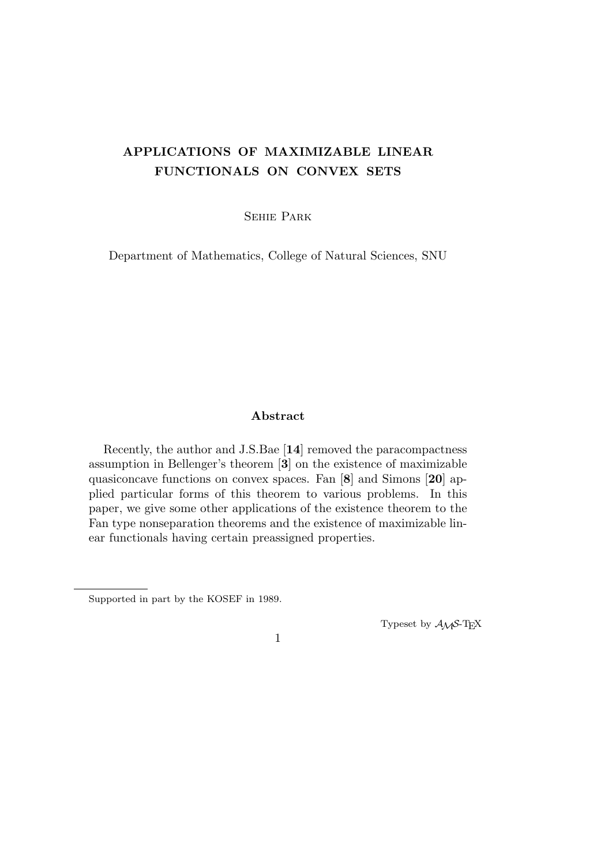# **APPLICATIONS OF MAXIMIZABLE LINEAR FUNCTIONALS ON CONVEX SETS**

Sehie Park

Department of Mathematics, College of Natural Sciences, SNU

# **Abstract**

Recently, the author and J.S.Bae [**14**] removed the paracompactness assumption in Bellenger's theorem [**3**] on the existence of maximizable quasiconcave functions on convex spaces. Fan [**8**] and Simons [**20**] applied particular forms of this theorem to various problems. In this paper, we give some other applications of the existence theorem to the Fan type nonseparation theorems and the existence of maximizable linear functionals having certain preassigned properties.

Typeset by  $\mathcal{A}\mathcal{M}$ S-T<sub>E</sub>X

Supported in part by the KOSEF in 1989.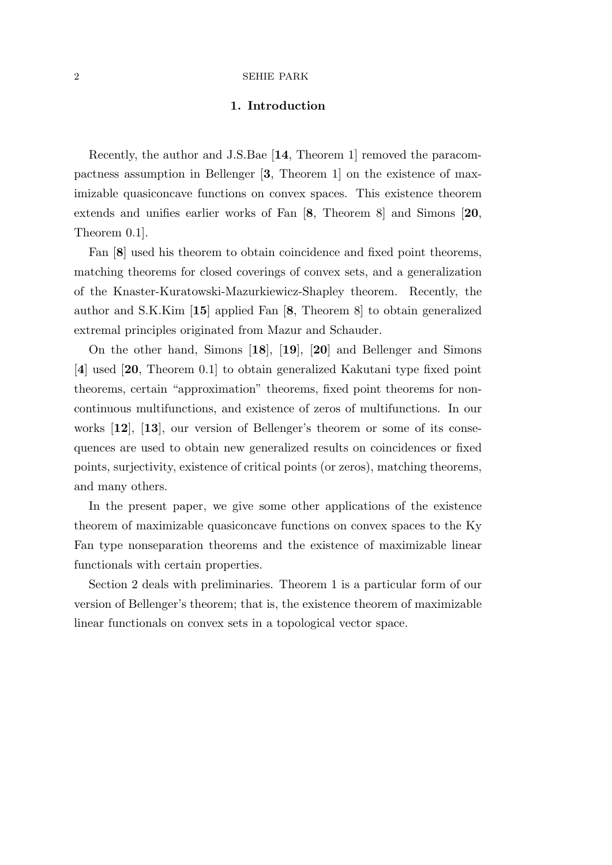# **1. Introduction**

Recently, the author and J.S.Bae [**14**, Theorem 1] removed the paracompactness assumption in Bellenger [**3**, Theorem 1] on the existence of maximizable quasiconcave functions on convex spaces. This existence theorem extends and unifies earlier works of Fan [**8**, Theorem 8] and Simons [**20**, Theorem 0.1].

Fan [**8**] used his theorem to obtain coincidence and fixed point theorems, matching theorems for closed coverings of convex sets, and a generalization of the Knaster-Kuratowski-Mazurkiewicz-Shapley theorem. Recently, the author and S.K.Kim [**15**] applied Fan [**8**, Theorem 8] to obtain generalized extremal principles originated from Mazur and Schauder.

On the other hand, Simons [**18**], [**19**], [**20**] and Bellenger and Simons [**4**] used [**20**, Theorem 0.1] to obtain generalized Kakutani type fixed point theorems, certain "approximation" theorems, fixed point theorems for noncontinuous multifunctions, and existence of zeros of multifunctions. In our works [**12**], [**13**], our version of Bellenger's theorem or some of its consequences are used to obtain new generalized results on coincidences or fixed points, surjectivity, existence of critical points (or zeros), matching theorems, and many others.

In the present paper, we give some other applications of the existence theorem of maximizable quasiconcave functions on convex spaces to the Ky Fan type nonseparation theorems and the existence of maximizable linear functionals with certain properties.

Section 2 deals with preliminaries. Theorem 1 is a particular form of our version of Bellenger's theorem; that is, the existence theorem of maximizable linear functionals on convex sets in a topological vector space.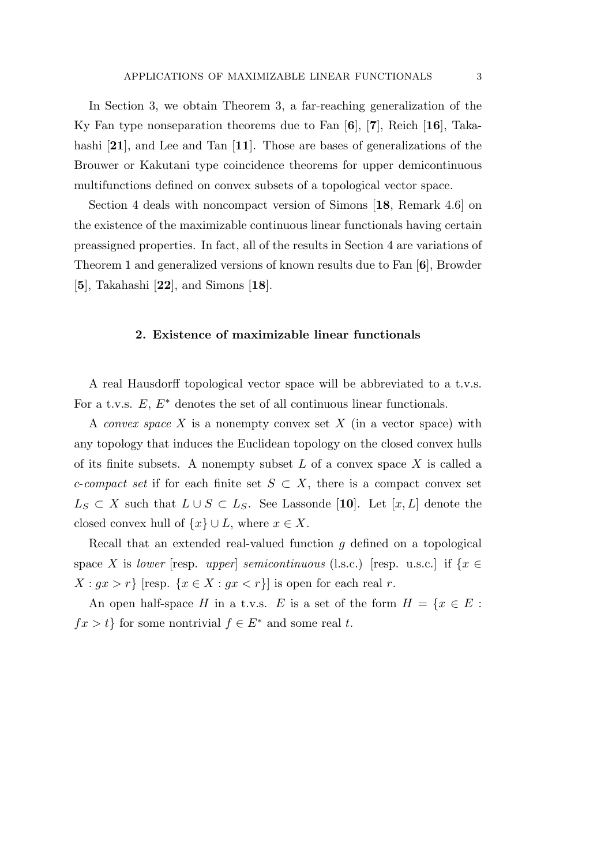In Section 3, we obtain Theorem 3, a far-reaching generalization of the Ky Fan type nonseparation theorems due to Fan [**6**], [**7**], Reich [**16**], Takahashi [**21**], and Lee and Tan [**11**]. Those are bases of generalizations of the Brouwer or Kakutani type coincidence theorems for upper demicontinuous multifunctions defined on convex subsets of a topological vector space.

Section 4 deals with noncompact version of Simons [**18**, Remark 4.6] on the existence of the maximizable continuous linear functionals having certain preassigned properties. In fact, all of the results in Section 4 are variations of Theorem 1 and generalized versions of known results due to Fan [**6**], Browder [**5**], Takahashi [**22**], and Simons [**18**].

## **2. Existence of maximizable linear functionals**

A real Hausdorff topological vector space will be abbreviated to a t.v.s. For a t.v.s. *E*, *E<sup>∗</sup>* denotes the set of all continuous linear functionals.

A *convex space X* is a nonempty convex set *X* (in a vector space) with any topology that induces the Euclidean topology on the closed convex hulls of its finite subsets. A nonempty subset *L* of a convex space *X* is called a *c*-*compact set* if for each finite set  $S \subset X$ , there is a compact convex set *L*<sup>*S*</sup> ⊂ *X* such that  $L ∪ S ⊂ L<sub>S</sub>$ . See Lassonde [10]. Let [*x, L*] denote the closed convex hull of  $\{x\} \cup L$ , where  $x \in X$ .

Recall that an extended real-valued function *g* defined on a topological space *X* is *lower* [resp. *upper*] *semicontinuous* (l.s.c.) [resp. u.s.c.] if  $\{x \in$  $X: gx > r$ } [resp.  $\{x \in X: gx < r\}$ ] is open for each real *r*.

An open half-space *H* in a t.v.s. *E* is a set of the form  $H = \{x \in E :$  $fx > t$ <sup>}</sup> for some nontrivial  $f \in E^*$  and some real *t*.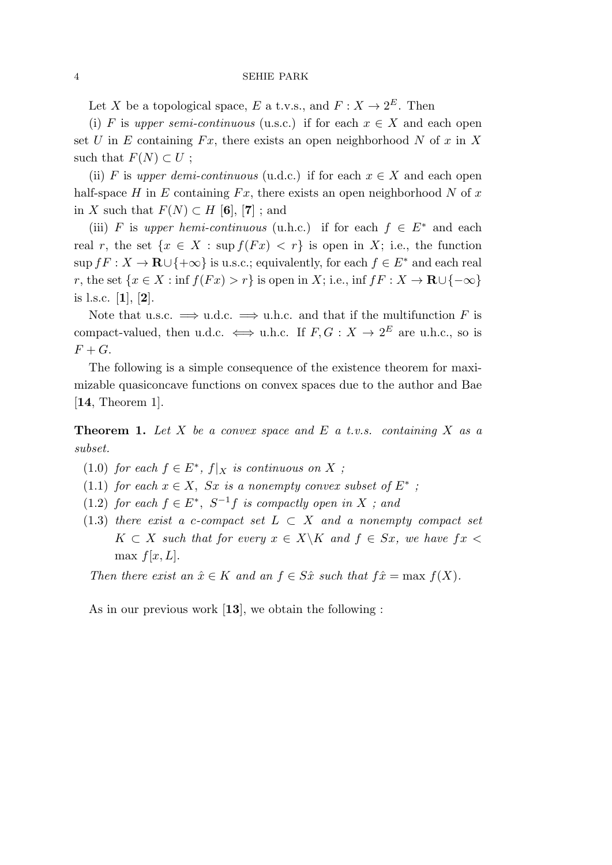Let *X* be a topological space, *E* a t.v.s., and  $F: X \to 2^E$ . Then

(i) *F* is *upper semi-continuous* (u.s.c.) if for each  $x \in X$  and each open set *U* in *E* containing  $Fx$ , there exists an open neighborhood *N* of *x* in *X* such that  $F(N) \subset U$ ;

(ii) *F* is *upper demi-continuous* (u.d.c.) if for each  $x \in X$  and each open half-space  $H$  in  $E$  containing  $Fx$ , there exists an open neighborhood  $N$  of  $x$ in *X* such that *F*(*N*) *⊂ H* [**6**], [**7**] ; and

(iii) *F* is *upper hemi-continuous* (u.h.c.) if for each  $f \in E^*$  and each real *r*, the set  $\{x \in X : \sup f(Fx) < r\}$  is open in *X*; i.e., the function  $\sup fF: X \to \mathbf{R} \cup \{+\infty\}$  is u.s.c.; equivalently, for each  $f \in E^*$  and each real  $r,$  the set  $\{x \in X : \inf f(Fx) > r\}$  is open in *X*; i.e.,  $\inf fF : X \to \mathbf{R} \cup \{-\infty\}$ is l.s.c. [**1**], [**2**].

Note that u.s.c.  $\implies$  u.d.c.  $\implies$  u.h.c. and that if the multifunction *F* is compact-valued, then u.d.c.  $\iff$  u.h.c. If  $F, G: X \to 2^E$  are u.h.c., so is  $F + G$ .

The following is a simple consequence of the existence theorem for maximizable quasiconcave functions on convex spaces due to the author and Bae [**14**, Theorem 1].

**Theorem 1.** *Let X be a convex space and E a t.v.s. containing X as a subset.*

- $(1.0)$  *for each*  $f \in E^*$ ,  $f|_X$  *is continuous on*  $X$ ;
- (1.1) *for each*  $x \in X$ , *Sx is a nonempty convex subset of*  $E^*$ ;
- $(1.2)$  *for each*  $f \in E^*$ ,  $S^{-1}f$  *is compactly open in X ; and*
- (1.3) *there exist a c-compact set*  $L \subset X$  *and a nonempty compact set K*  $\subset$  *X such that for every*  $x \in X\backslash K$  *and*  $f \in Sx$ *, we have*  $fx$ max  $f[x, L]$ *.*

*Then there exist an*  $\hat{x} \in K$  *and an*  $f \in S\hat{x}$  *such that*  $f\hat{x} = \max f(X)$ *.* 

As in our previous work [**13**], we obtain the following :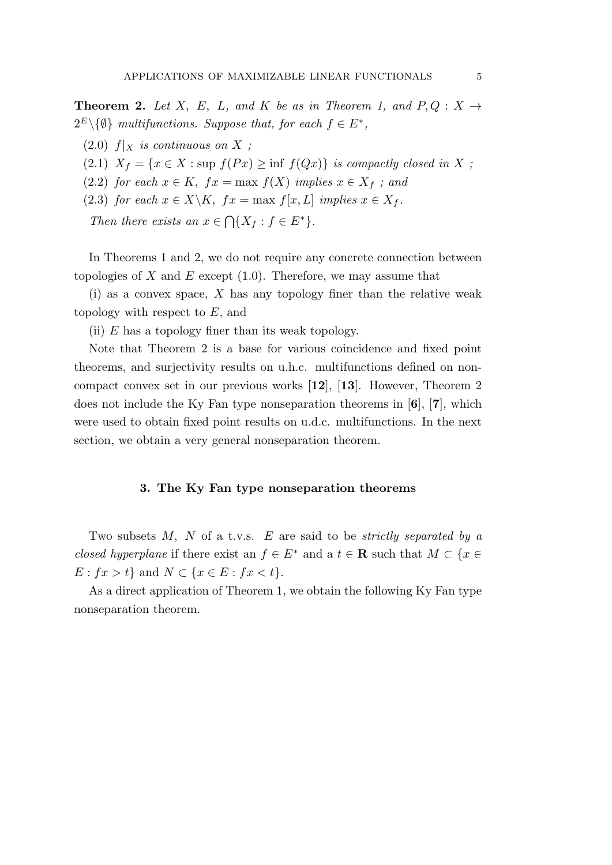**Theorem 2.** Let *X*, *E*, *L*, and *K* be as in Theorem 1, and  $P, Q: X \rightarrow$  $2^E \setminus \{0\}$  *multifunctions. Suppose that, for each*  $f \in E^*$ ,

- $(2.0)$   $f|_X$  *is continuous on X* ;
- (2.1)  $X_f = \{x \in X : \text{sup } f(Px) \geq \inf f(Qx)\}$  *is compactly closed in X ;*
- (2.2) *for each*  $x \in K$ ,  $fx = \max f(X)$  *implies*  $x \in X_f$  *; and*
- (2.3) *for each*  $x \in X \backslash K$ ,  $fx = \max f[x, L]$  *implies*  $x \in X_f$ .

*Then there exists an*  $x \in \bigcap \{X_f : f \in E^*\}.$ 

In Theorems 1 and 2, we do not require any concrete connection between topologies of  $X$  and  $E$  except  $(1.0)$ . Therefore, we may assume that

(i) as a convex space, *X* has any topology finer than the relative weak topology with respect to *E*, and

(ii) *E* has a topology finer than its weak topology.

Note that Theorem 2 is a base for various coincidence and fixed point theorems, and surjectivity results on u.h.c. multifunctions defined on noncompact convex set in our previous works [**12**], [**13**]. However, Theorem 2 does not include the Ky Fan type nonseparation theorems in [**6**], [**7**], which were used to obtain fixed point results on u.d.c. multifunctions. In the next section, we obtain a very general nonseparation theorem.

# **3. The Ky Fan type nonseparation theorems**

Two subsets *M, N* of a t.v.s. *E* are said to be *strictly separated by a closed hyperplane* if there exist an  $f \in E^*$  and a  $t \in \mathbb{R}$  such that  $M \subset \{x \in E\}$ *E* :  $fx > t$  and  $N \subset \{x \in E : fx < t\}$ .

As a direct application of Theorem 1, we obtain the following Ky Fan type nonseparation theorem.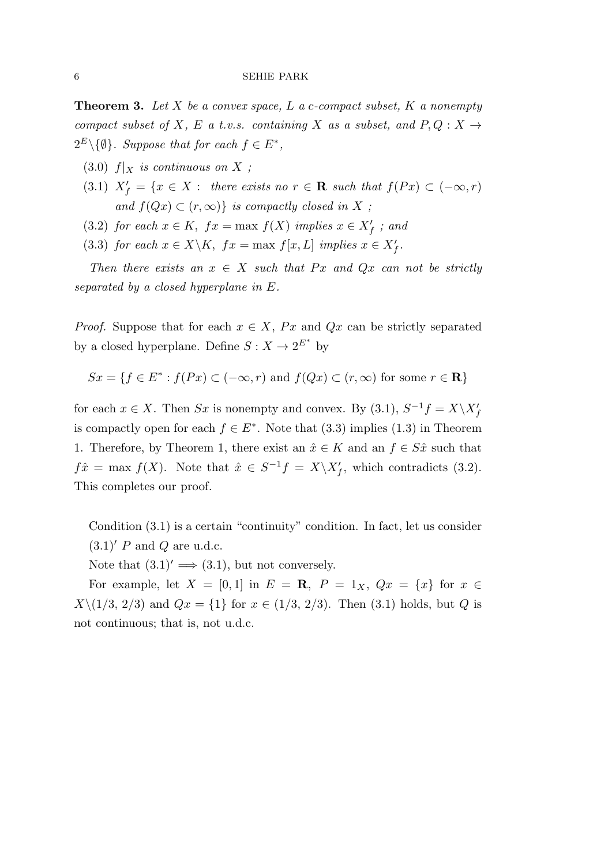**Theorem 3.** *Let X be a convex space, L a c-compact subset, K a nonempty compact subset of*  $X$ *,*  $E$  *a t.v.s. containing*  $X$  *as a subset, and*  $P, Q: X \rightarrow$  $2^E \setminus \{ \emptyset \}$ *. Suppose that for each*  $f \in E^*$ ,

- (3.0)  $f|_X$  *is continuous on*  $X$ ;
- $(X,1)$   $X'_{f} = \{x \in X : \text{ there exists no } r \in \mathbb{R} \text{ such that } f(Px) \subset (-\infty,r)$ *and*  $f(Qx) \subset (r, \infty)$ *} is compactly closed in X ;*
- (3.2) *for each*  $x \in K$ ,  $fx = \max f(X)$  *implies*  $x \in X'_f$  *; and*

(3.3) *for each*  $x \in X \backslash K$ ,  $fx = \max f[x, L]$  *implies*  $x \in X'_{f}$ .

*Then there exists an*  $x \in X$  *such that*  $Px$  *and*  $Qx$  *can not be strictly separated by a closed hyperplane in E.*

*Proof.* Suppose that for each  $x \in X$ , *Px* and  $Qx$  can be strictly separated by a closed hyperplane. Define  $S: X \to 2^{E^*}$  by

$$
Sx = \{f \in E^* : f(Px) \subset (-\infty, r) \text{ and } f(Qx) \subset (r, \infty) \text{ for some } r \in \mathbb{R}\}\
$$

for each  $x \in X$ . Then  $Sx$  is nonempty and convex. By (3.1),  $S^{-1}f = X \setminus X'_f$ is compactly open for each  $f \in E^*$ . Note that (3.3) implies (1.3) in Theorem 1. Therefore, by Theorem 1, there exist an  $\hat{x} \in K$  and an  $f \in S\hat{x}$  such that  $f\hat{x} = \max f(X)$ . Note that  $\hat{x} \in S^{-1}f = X\setminus X'_{f}$ , which contradicts (3.2). This completes our proof.

Condition (3.1) is a certain "continuity" condition. In fact, let us consider (3.1)*′ P* and *Q* are u.d.c.

Note that  $(3.1)' \implies (3.1)$ , but not conversely.

For example, let  $X = [0, 1]$  in  $E = \mathbb{R}$ ,  $P = 1_X$ ,  $Qx = \{x\}$  for  $x \in$ *X* $\setminus$ (1/3*,* 2/3) and *Qx* = {1} for *x*  $\in$  (1/3*,* 2/3). Then (3.1) holds, but *Q* is not continuous; that is, not u.d.c.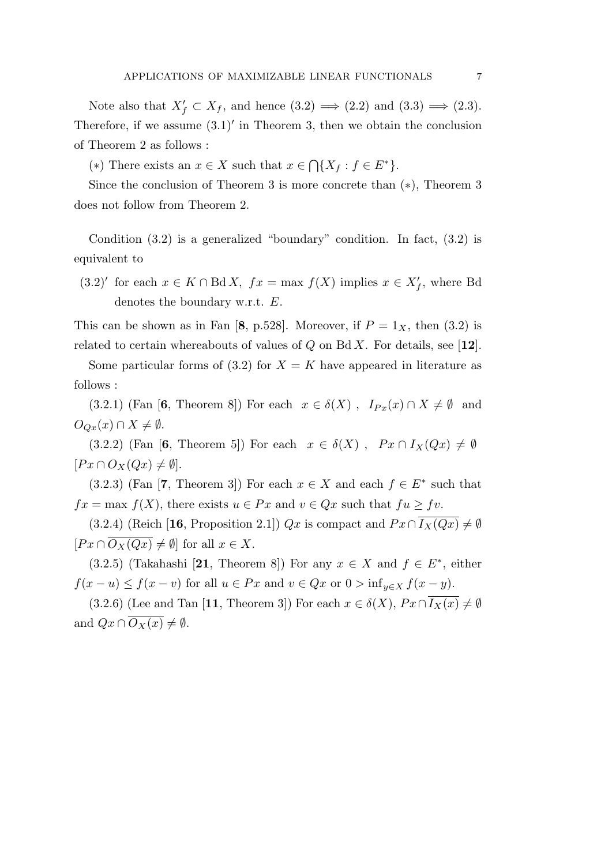Note also that  $X'_f \subset X_f$ , and hence  $(3.2) \Longrightarrow (2.2)$  and  $(3.3) \Longrightarrow (2.3)$ . Therefore, if we assume (3.1)*′* in Theorem 3, then we obtain the conclusion of Theorem 2 as follows :

(\*) There exists an  $x \in X$  such that  $x \in \bigcap \{X_f : f \in E^*\}.$ 

Since the conclusion of Theorem 3 is more concrete than (*∗*), Theorem 3 does not follow from Theorem 2.

Condition  $(3.2)$  is a generalized "boundary" condition. In fact,  $(3.2)$  is equivalent to

 $(3.2)'$  for each  $x \in K \cap B \, dX$ ,  $fx = \max f(X)$  implies  $x \in X'_{f}$ , where Bd denotes the boundary w.r.t. *E*.

This can be shown as in Fan  $[8, p.528]$ . Moreover, if  $P = 1_X$ , then  $(3.2)$  is related to certain whereabouts of values of *Q* on Bd *X*. For details, see [**12**].

Some particular forms of  $(3.2)$  for  $X = K$  have appeared in literature as follows :

 $(3.2.1)$  (Fan [6, Theorem 8]) For each  $x \in \delta(X)$ ,  $I_{Px}(x) \cap X \neq \emptyset$  and *O*<sub>*Qx*</sub>(*x*) ∩ *X*  $\neq$   $\emptyset$ .

(3.2.2) (Fan [6, Theorem 5]) For each  $x \in \delta(X)$ ,  $Px \cap I_X(Qx) \neq \emptyset$  $[Px \cap O_X(Qx) \neq \emptyset].$ 

 $(3.2.3)$  (Fan [**7**, Theorem 3]) For each  $x \in X$  and each  $f \in E^*$  such that  $fx = \max f(X)$ , there exists  $u \in Px$  and  $v \in Qx$  such that  $fu \ge fv$ .

(3.2.4) (Reich [16, Proposition 2.1]) *Qx* is compact and  $Px \cap \overline{I_X(Qx)} \neq \emptyset$  $[Px \cap \overline{O_X(Qx)} \neq \emptyset]$  for all  $x \in X$ .

 $(3.2.5)$  (Takahashi [21, Theorem 8]) For any  $x \in X$  and  $f \in E^*$ , either  $f(x - u) \le f(x - v)$  for all  $u \in Px$  and  $v \in Qx$  or  $0 > inf_{y \in X} f(x - y)$ .

(3.2.6) (Lee and Tan [11, Theorem 3]) For each  $x \in \delta(X)$ ,  $Px \cap \overline{I_X(x)} \neq \emptyset$ and  $Qx \cap \overline{O_X(x)} \neq \emptyset$ .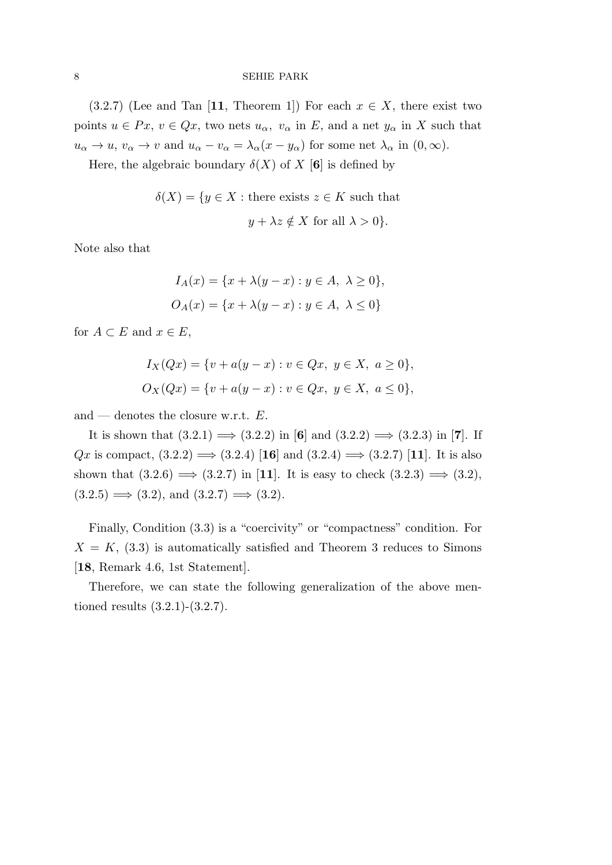(3.2.7) (Lee and Tan [11, Theorem 1]) For each  $x \in X$ , there exist two points  $u \in Px$ ,  $v \in Qx$ , two nets  $u_\alpha$ ,  $v_\alpha$  in *E*, and a net  $y_\alpha$  in *X* such that  $u_{\alpha} \to u$ ,  $v_{\alpha} \to v$  and  $u_{\alpha} - v_{\alpha} = \lambda_{\alpha}(x - y_{\alpha})$  for some net  $\lambda_{\alpha}$  in  $(0, \infty)$ .

Here, the algebraic boundary  $\delta(X)$  of X [6] is defined by

$$
\delta(X) = \{ y \in X : \text{there exists } z \in K \text{ such that } 0 y + \lambda z \notin X \text{ for all } \lambda > 0 \}.
$$

Note also that

$$
I_A(x) = \{x + \lambda(y - x) : y \in A, \ \lambda \ge 0\},\
$$
  

$$
O_A(x) = \{x + \lambda(y - x) : y \in A, \ \lambda \le 0\}
$$

for  $A \subset E$  and  $x \in E$ ,

$$
I_X(Qx) = \{v + a(y - x) : v \in Qx, y \in X, a \ge 0\},\,
$$
  

$$
O_X(Qx) = \{v + a(y - x) : v \in Qx, y \in X, a \le 0\},\,
$$

and — denotes the closure w.r.t. *E*.

It is shown that (3.2.1) =*⇒* (3.2.2) in [**6**] and (3.2.2) =*⇒* (3.2.3) in [**7**]. If *Qx* is compact, (3.2.2)  $\implies$  (3.2.4) [16] and (3.2.4)  $\implies$  (3.2.7) [11]. It is also shown that  $(3.2.6) \implies (3.2.7)$  in [11]. It is easy to check  $(3.2.3) \implies (3.2)$ ,  $(3.2.5) \Longrightarrow (3.2)$ , and  $(3.2.7) \Longrightarrow (3.2)$ .

Finally, Condition (3.3) is a "coercivity" or "compactness" condition. For  $X = K$ , (3.3) is automatically satisfied and Theorem 3 reduces to Simons [**18**, Remark 4.6, 1st Statement].

Therefore, we can state the following generalization of the above mentioned results (3.2.1)-(3.2.7).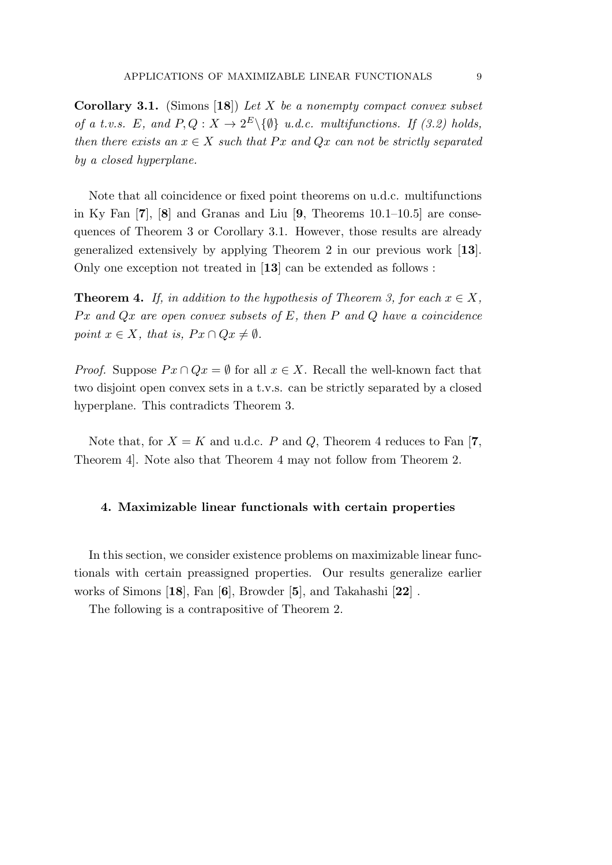**Corollary 3.1.** (Simons [**18**]) *Let X be a nonempty compact convex subset of a t.v.s. E*, and  $P, Q: X \to 2^E \setminus \{ \emptyset \}$  *u.d.c. multifunctions. If (3.2) holds, then there exists an*  $x \in X$  *such that*  $Px$  *and*  $Qx$  *can not be strictly separated by a closed hyperplane.*

Note that all coincidence or fixed point theorems on u.d.c. multifunctions in Ky Fan [**7**], [**8**] and Granas and Liu [**9**, Theorems 10.1–10.5] are consequences of Theorem 3 or Corollary 3.1. However, those results are already generalized extensively by applying Theorem 2 in our previous work [**13**]. Only one exception not treated in [**13**] can be extended as follows :

**Theorem 4.** *If, in addition to the hypothesis of Theorem 3, for each*  $x \in X$ *, P x and Qx are open convex subsets of E, then P and Q have a coincidence point*  $x \in X$ *, that is,*  $Px \cap Qx \neq \emptyset$ *.* 

*Proof.* Suppose  $Px \cap Qx = \emptyset$  for all  $x \in X$ . Recall the well-known fact that two disjoint open convex sets in a t.v.s. can be strictly separated by a closed hyperplane. This contradicts Theorem 3.

Note that, for  $X = K$  and u.d.c. *P* and *Q*, Theorem 4 reduces to Fan [7,] Theorem 4]. Note also that Theorem 4 may not follow from Theorem 2.

## **4. Maximizable linear functionals with certain properties**

In this section, we consider existence problems on maximizable linear functionals with certain preassigned properties. Our results generalize earlier works of Simons [**18**], Fan [**6**], Browder [**5**], and Takahashi [**22**] .

The following is a contrapositive of Theorem 2.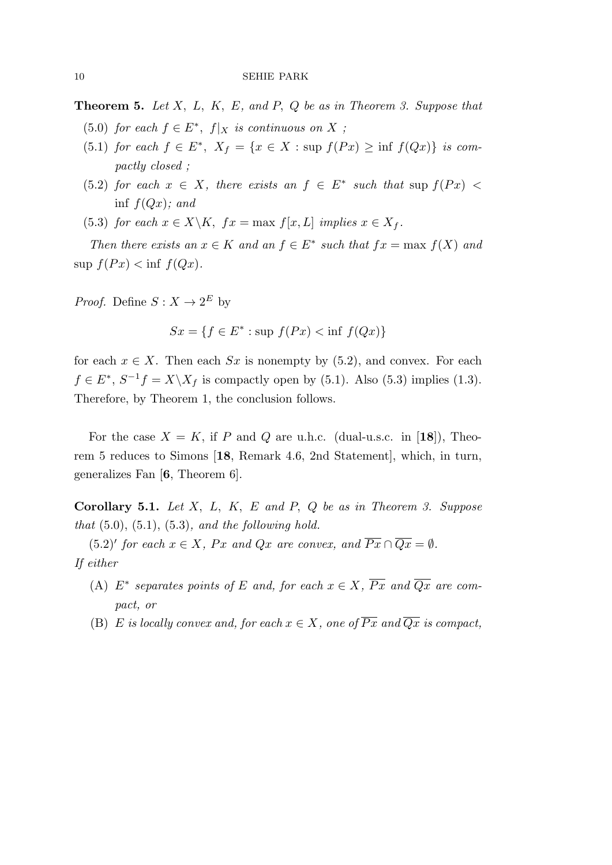**Theorem 5.** *Let X, L, K, E, and P, Q be as in Theorem 3. Suppose that*

- (5.0) *for each*  $f \in E^*$ ,  $f|_X$  *is continuous on*  $X$ ;
- $(5.1)$  *for each*  $f \in E^*$ ,  $X_f = \{x \in X : \text{sup } f(Px) \geq \inf f(Qx)\}$  *is compactly closed ;*
- $(5.2)$  *for each*  $x \in X$ *, there exists an*  $f \in E^*$  *such that* sup  $f(Px)$ inf *f*(*Qx*)*; and*
- (5.3) *for each*  $x \in X \backslash K$ ,  $fx = \max f[x, L]$  *implies*  $x \in X_f$ .

*Then there exists an*  $x \in K$  *and an*  $f \in E^*$  *such that*  $fx = \max f(X)$  *and*  $\sup f(Px) < \inf f(Qx)$ .

*Proof.* Define  $S: X \to 2^E$  by

$$
Sx = \{ f \in E^* : \sup f(Px) < \inf f(Qx) \}
$$

for each  $x \in X$ . Then each  $Sx$  is nonempty by (5.2), and convex. For each  $f \in E^*, S^{-1}f = X \setminus X_f$  is compactly open by (5.1). Also (5.3) implies (1.3). Therefore, by Theorem 1, the conclusion follows.

For the case  $X = K$ , if P and Q are u.h.c. (dual-u.s.c. in [18]), Theorem 5 reduces to Simons [**18**, Remark 4.6, 2nd Statement], which, in turn, generalizes Fan [**6**, Theorem 6].

**Corollary 5.1.** *Let X, L, K, E and P, Q be as in Theorem 3. Suppose that* (5.0), (5.1), (5.3)*, and the following hold.*

 $(5.2)'$  *for each*  $x \in X$ *, Px and Qx are convex, and*  $\overline{Px} \cap \overline{Qx} = \emptyset$ *. If either*

- $(A)$   $E^*$  separates points of  $E$  and, for each  $x \in X$ ,  $Px$  and  $Qx$  are com*pact, or*
- (B) *E* is locally convex and, for each  $x \in X$ , one of  $\overline{Px}$  and  $\overline{Qx}$  is compact,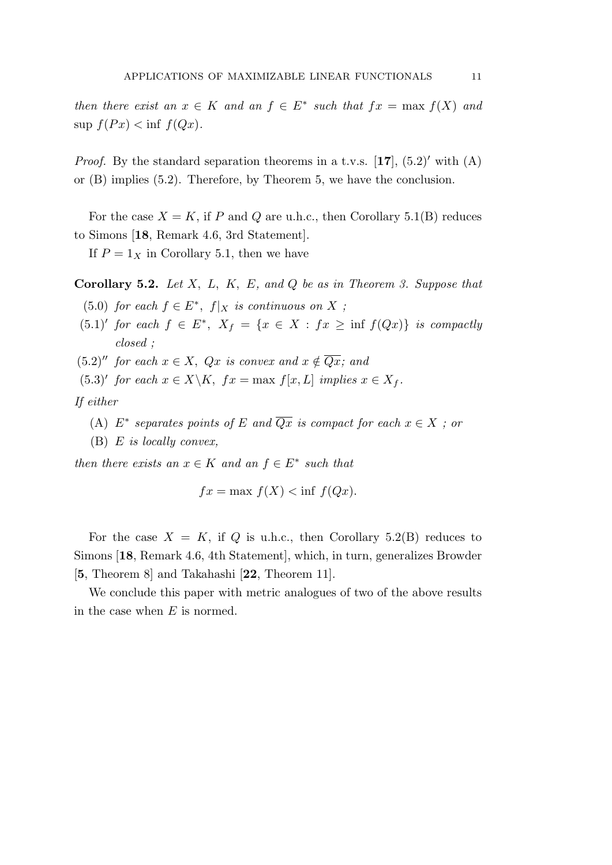*then there exist an*  $x \in K$  *and an*  $f \in E^*$  *such that*  $fx = \max f(X)$  *and*  $\sup f(Px) < \inf f(Qx)$ .

*Proof.* By the standard separation theorems in a t.v.s.  $[17]$ ,  $(5.2)'$  with  $(A)$ or (B) implies (5.2). Therefore, by Theorem 5, we have the conclusion.

For the case  $X = K$ , if P and Q are u.h.c., then Corollary 5.1(B) reduces to Simons [**18**, Remark 4.6, 3rd Statement].

If  $P = 1_X$  in Corollary 5.1, then we have

**Corollary 5.2.** *Let X, L, K, E, and Q be as in Theorem 3. Suppose that*

- (5.0) *for each*  $f \in E^*$ ,  $f|_X$  *is continuous on*  $X$ ;
- $(5.1)'$  *for each*  $f \in E^*$ ,  $X_f = \{x \in X : fx \ge \inf f(Qx)\}$  *is compactly closed ;*
- $(5.2)''$  *for each*  $x \in X$ ,  $Qx$  *is convex and*  $x \notin \overline{Qx}$ *; and*
- $(5.3)'$  *for each*  $x \in X \backslash K$ ,  $fx = \max f[x, L]$  *implies*  $x \in X_f$ .

*If either*

- $(A)$   $E^*$  *separates points of*  $E$  *and*  $Qx$  *is compact for each*  $x \in X$  *; or*
- (B) *E is locally convex,*

*then there exists an*  $x \in K$  *and an*  $f \in E^*$  *such that* 

$$
fx = \max f(X) < \inf f(Qx).
$$

For the case  $X = K$ , if Q is u.h.c., then Corollary 5.2(B) reduces to Simons [**18**, Remark 4.6, 4th Statement], which, in turn, generalizes Browder [**5**, Theorem 8] and Takahashi [**22**, Theorem 11].

We conclude this paper with metric analogues of two of the above results in the case when *E* is normed.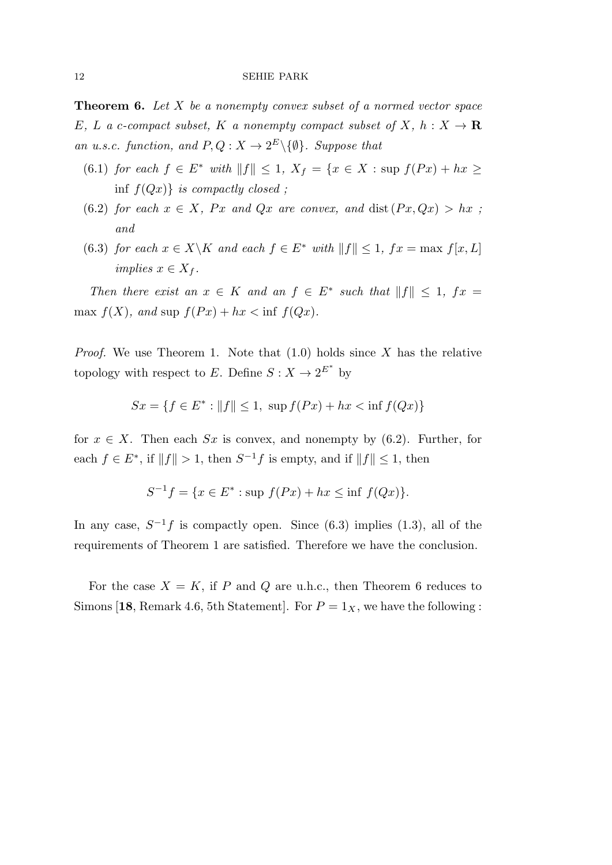**Theorem 6.** *Let X be a nonempty convex subset of a normed vector space E, L a c*-compact subset, *K a nonempty compact subset of X*, *h* :  $X \rightarrow \mathbb{R}$ *an u.s.c. function, and*  $P, Q: X \to 2^E \setminus \{\emptyset\}$ *. Suppose that* 

- (6.1) *for each f* ∈ *E*<sup>\*</sup> *with*  $||f|| ≤ 1$ *,*  $X_f = \{x \in X : \text{sup } f(Px) + hx \ge$ inf *f*(*Qx*)*} is compactly closed ;*
- (6.2) *for each*  $x \in X$ *, Px and Qx are convex, and dist*  $(Px, Qx) > hx$ ; *and*
- (6.3) *for each*  $x \in X \backslash K$  *and each*  $f \in E^*$  *with*  $||f|| \leq 1$ ,  $fx = \max f[x, L]$ *implies*  $x \in X_f$ .

*Then there exist an*  $x \in K$  *and an*  $f \in E^*$  *such that*  $||f|| \leq 1$ ,  $fx =$ max  $f(X)$ *, and* sup  $f(Px) + hx < \inf f(Qx)$ *.* 

*Proof.* We use Theorem 1. Note that (1.0) holds since *X* has the relative topology with respect to *E*. Define  $S: X \to 2^{E^*}$  by

$$
Sx = \{ f \in E^* : ||f|| \le 1, \sup f(Px) + hx < \inf f(Qx) \}
$$

for  $x \in X$ . Then each  $Sx$  is convex, and nonempty by (6.2). Further, for each  $f \in E^*$ , if  $||f|| > 1$ , then  $S^{-1}f$  is empty, and if  $||f|| \leq 1$ , then

$$
S^{-1}f = \{ x \in E^* : \text{sup } f(Px) + hx \le \inf f(Qx) \}.
$$

In any case,  $S^{-1}f$  is compactly open. Since (6.3) implies (1.3), all of the requirements of Theorem 1 are satisfied. Therefore we have the conclusion.

For the case  $X = K$ , if P and Q are u.h.c., then Theorem 6 reduces to Simons [18, Remark 4.6, 5th Statement]. For  $P = 1_X$ , we have the following :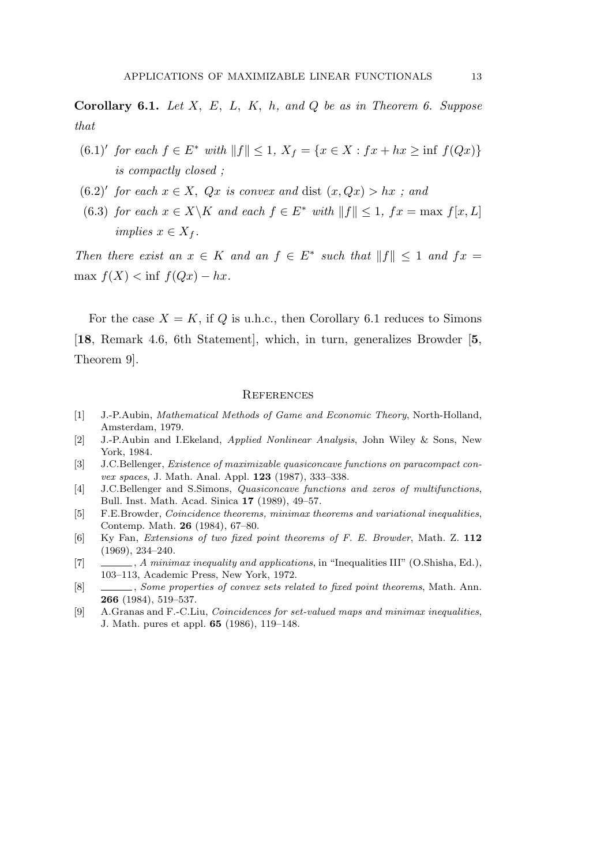**Corollary 6.1.** *Let X, E, L, K, h, and Q be as in Theorem 6. Suppose that*

- $(6.1)'$  for each  $f \in E^*$  with  $||f|| \leq 1$ ,  $X_f = \{x \in X : fx + hx \geq \inf f(Qx)\}\$ *is compactly closed ;*
- $(6.2)'$  *for each*  $x \in X$ ,  $Qx$  *is convex and* dist  $(x, Qx) > hx$  *; and*
- (6.3) *for each*  $x \in X \backslash K$  *and each*  $f \in E^*$  *with*  $||f|| \leq 1$ ,  $fx = \max f[x, L]$  $implies x \in X_f$ .

*Then there exist an*  $x \in K$  *and an*  $f \in E^*$  *such that*  $||f|| \leq 1$  *and*  $fx =$  $\max f(X) < \inf f(Qx) - hx$ .

For the case  $X = K$ , if Q is u.h.c., then Corollary 6.1 reduces to Simons [**18**, Remark 4.6, 6th Statement], which, in turn, generalizes Browder [**5**, Theorem 9].

### **REFERENCES**

- [1] J.-P.Aubin, *Mathematical Methods of Game and Economic Theory*, North-Holland, Amsterdam, 1979.
- [2] J.-P.Aubin and I.Ekeland, *Applied Nonlinear Analysis*, John Wiley & Sons, New York, 1984.
- [3] J.C.Bellenger, *Existence of maximizable quasiconcave functions on paracompact convex spaces*, J. Math. Anal. Appl. **123** (1987), 333–338.
- [4] J.C.Bellenger and S.Simons, *Quasiconcave functions and zeros of multifunctions*, Bull. Inst. Math. Acad. Sinica **17** (1989), 49–57.
- [5] F.E.Browder, *Coincidence theorems, minimax theorems and variational inequalities*, Contemp. Math. **26** (1984), 67–80.
- [6] Ky Fan, *Extensions of two fixed point theorems of F. E. Browder*, Math. Z. **112** (1969), 234–240.
- [7] , *A minimax inequality and applications*, in "Inequalities III" (O.Shisha, Ed.), 103–113, Academic Press, New York, 1972.
- [8] , *Some properties of convex sets related to fixed point theorems*, Math. Ann. **266** (1984), 519–537.
- [9] A.Granas and F.-C.Liu, *Coincidences for set-valued maps and minimax inequalities*, J. Math. pures et appl. **65** (1986), 119–148.